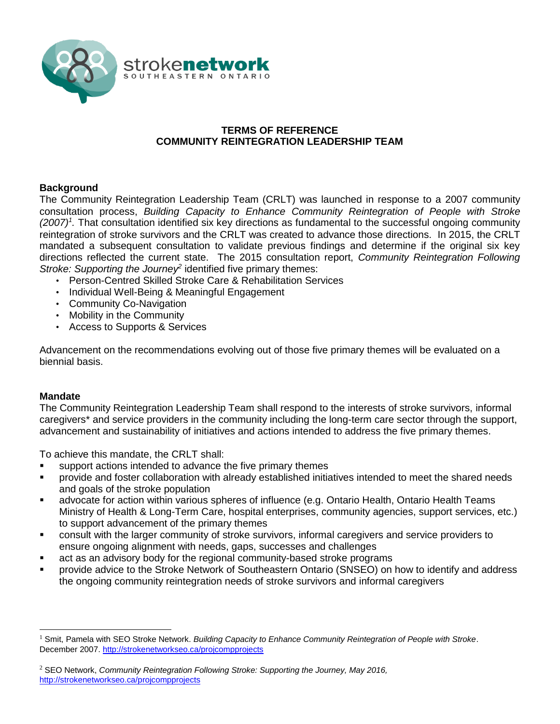

### **TERMS OF REFERENCE COMMUNITY REINTEGRATION LEADERSHIP TEAM**

#### **Background**

The Community Reintegration Leadership Team (CRLT) was launched in response to a 2007 community consultation process, *Building Capacity to Enhance Community Reintegration of People with Stroke (2007)<sup>1</sup> .* That consultation identified six key directions as fundamental to the successful ongoing community reintegration of stroke survivors and the CRLT was created to advance those directions. In 2015, the CRLT mandated a subsequent consultation to validate previous findings and determine if the original six key directions reflected the current state. The 2015 consultation report, *Community Reintegration Following*  Stroke: Supporting the Journey<sup>2</sup> identified five primary themes:

- Person-Centred Skilled Stroke Care & Rehabilitation Services
- Individual Well-Being & Meaningful Engagement
- Community Co-Navigation
- Mobility in the Community
- Access to Supports & Services

Advancement on the recommendations evolving out of those five primary themes will be evaluated on a biennial basis.

#### **Mandate**

 $\overline{a}$ 

The Community Reintegration Leadership Team shall respond to the interests of stroke survivors, informal caregivers\* and service providers in the community including the long-term care sector through the support, advancement and sustainability of initiatives and actions intended to address the five primary themes.

To achieve this mandate, the CRLT shall:

- support actions intended to advance the five primary themes
- provide and foster collaboration with already established initiatives intended to meet the shared needs and goals of the stroke population
- advocate for action within various spheres of influence (e.g. Ontario Health, Ontario Health Teams Ministry of Health & Long-Term Care, hospital enterprises, community agencies, support services, etc.) to support advancement of the primary themes
- consult with the larger community of stroke survivors, informal caregivers and service providers to ensure ongoing alignment with needs, gaps, successes and challenges
- act as an advisory body for the regional community-based stroke programs
- provide advice to the Stroke Network of Southeastern Ontario (SNSEO) on how to identify and address the ongoing community reintegration needs of stroke survivors and informal caregivers

<sup>1</sup> Smit, Pamela with SEO Stroke Network. *Building Capacity to Enhance Community Reintegration of People with Stroke*. December 2007.<http://strokenetworkseo.ca/projcompprojects>

<sup>2</sup> SEO Network, *Community Reintegration Following Stroke: Supporting the Journey, May 2016,* <http://strokenetworkseo.ca/projcompprojects>